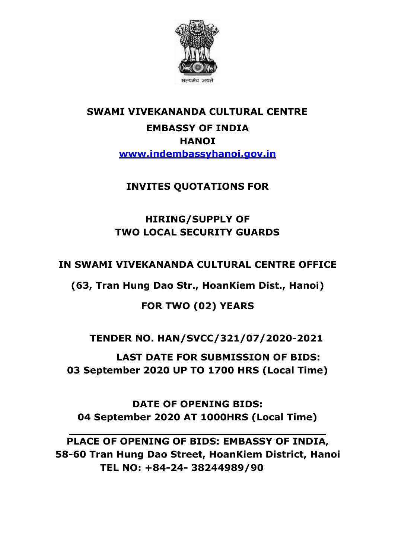

# **SWAMI VIVEKANANDA CULTURAL CENTRE EMBASSY OF INDIA HANOI [www.indembassyhanoi.gov.in](http://www.indembassyhanoi.gov.in/)**

## **INVITES QUOTATIONS FOR**

## **HIRING/SUPPLY OF TWO LOCAL SECURITY GUARDS**

## **IN SWAMI VIVEKANANDA CULTURAL CENTRE OFFICE**

**(63, Tran Hung Dao Str., HoanKiem Dist., Hanoi)** 

## **FOR TWO (02) YEARS**

## **TENDER NO. HAN/SVCC/321/07/2020-2021**

**LAST DATE FOR SUBMISSION OF BIDS: 03 September 2020 UP TO 1700 HRS (Local Time)**

**DATE OF OPENING BIDS: 04 September 2020 AT 1000HRS (Local Time)**

**PLACE OF OPENING OF BIDS: EMBASSY OF INDIA, 58-60 Tran Hung Dao Street, HoanKiem District, Hanoi TEL NO: +84-24- 38244989/90**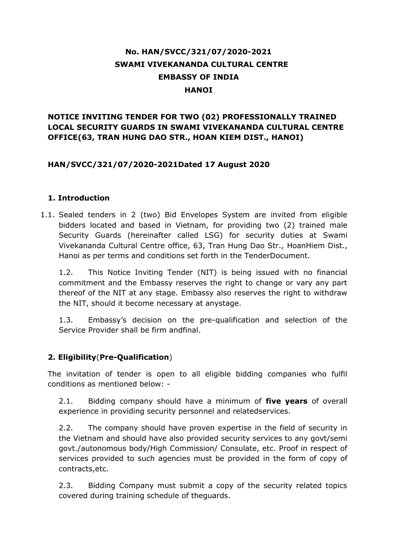### **No. HAN/SVCC/321/07/2020-2021 SWAMI VIVEKANANDA CULTURAL CENTRE EMBASSY OF INDIA HANOI**

### **NOTICE INVITING TENDER FOR TWO (02) PROFESSIONALLY TRAINED LOCAL SECURITY GUARDS IN SWAMI VIVEKANANDA CULTURAL CENTRE OFFICE(63, TRAN HUNG DAO STR., HOAN KIEM DIST., HANOI)**

#### **HAN/SVCC/321/07/2020-2021Dated 17 August 2020**

#### **1. Introduction**

1.1. Sealed tenders in 2 (two) Bid Envelopes System are invited from eligible bidders located and based in Vietnam, for providing two (2) trained male Security Guards (hereinafter called LSG) for security duties at Swami Vivekananda Cultural Centre office, 63, Tran Hung Dao Str., HoanHiem Dist., Hanoi as per terms and conditions set forth in the TenderDocument.

1.2. This Notice Inviting Tender (NIT) is being issued with no financial commitment and the Embassy reserves the right to change or vary any part thereof of the NIT at any stage. Embassy also reserves the right to withdraw the NIT, should it become necessary at anystage.

1.3. Embassy's decision on the pre-qualification and selection of the Service Provider shall be firm andfinal.

### **2. Eligibility**(**Pre-Qualification**)

The invitation of tender is open to all eligible bidding companies who fulfil conditions as mentioned below: -

2.1. Bidding company should have a minimum of **five years** of overall experience in providing security personnel and relatedservices.

2.2. The company should have proven expertise in the field of security in the Vietnam and should have also provided security services to any govt/semi govt./autonomous body/High Commission/ Consulate, etc. Proof in respect of services provided to such agencies must be provided in the form of copy of contracts,etc.

2.3. Bidding Company must submit a copy of the security related topics covered during training schedule of theguards.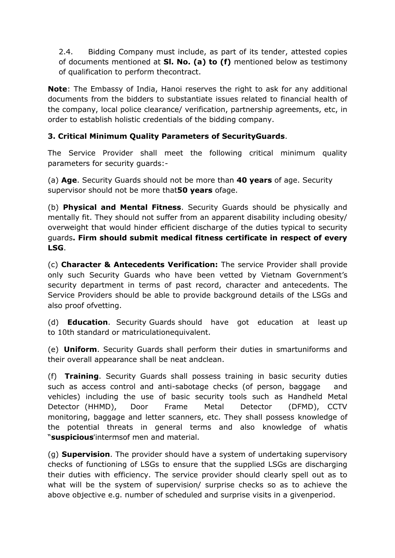2.4. Bidding Company must include, as part of its tender, attested copies of documents mentioned at **Sl. No. (a) to (f)** mentioned below as testimony of qualification to perform thecontract.

**Note**: The Embassy of India, Hanoi reserves the right to ask for any additional documents from the bidders to substantiate issues related to financial health of the company, local police clearance/ verification, partnership agreements, etc, in order to establish holistic credentials of the bidding company.

### **3. Critical Minimum Quality Parameters of SecurityGuards**.

The Service Provider shall meet the following critical minimum quality parameters for security guards:-

(a) **Age**. Security Guards should not be more than **40 years** of age. Security supervisor should not be more that**50 years** ofage.

(b) **Physical and Mental Fitness**. Security Guards should be physically and mentally fit. They should not suffer from an apparent disability including obesity/ overweight that would hinder efficient discharge of the duties typical to security guards**. Firm should submit medical fitness certificate in respect of every LSG**.

(c) **Character & Antecedents Verification:** The service Provider shall provide only such Security Guards who have been vetted by Vietnam Government's security department in terms of past record, character and antecedents. The Service Providers should be able to provide background details of the LSGs and also proof ofvetting.

(d) **Education**. Security Guards should have got education at least up to 10th standard or matriculationequivalent.

(e) **Uniform**. Security Guards shall perform their duties in smartuniforms and their overall appearance shall be neat andclean.

(f) **Training**. Security Guards shall possess training in basic security duties such as access control and anti-sabotage checks (of person, baggage and vehicles) including the use of basic security tools such as Handheld Metal Detector (HHMD), Door Frame Metal Detector (DFMD), CCTV monitoring, baggage and letter scanners, etc. They shall possess knowledge of the potential threats in general terms and also knowledge of whatis "**suspicious**"intermsof men and material.

(g) **Supervision**. The provider should have a system of undertaking supervisory checks of functioning of LSGs to ensure that the supplied LSGs are discharging their duties with efficiency. The service provider should clearly spell out as to what will be the system of supervision/ surprise checks so as to achieve the above objective e.g. number of scheduled and surprise visits in a givenperiod.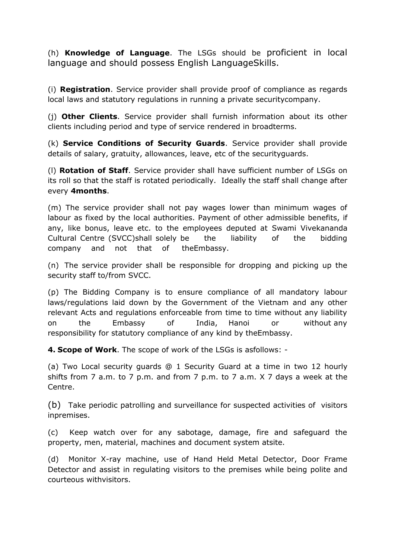(h) **Knowledge of Language**. The LSGs should be proficient in local language and should possess English LanguageSkills.

(i) **Registration**. Service provider shall provide proof of compliance as regards local laws and statutory regulations in running a private securitycompany.

(j) **Other Clients**. Service provider shall furnish information about its other clients including period and type of service rendered in broadterms.

(k) **Service Conditions of Security Guards**. Service provider shall provide details of salary, gratuity, allowances, leave, etc of the securityguards.

(l) **Rotation of Staff**. Service provider shall have sufficient number of LSGs on its roll so that the staff is rotated periodically. Ideally the staff shall change after every **4months**.

(m) The service provider shall not pay wages lower than minimum wages of labour as fixed by the local authorities. Payment of other admissible benefits, if any, like bonus, leave etc. to the employees deputed at Swami Vivekananda Cultural Centre (SVCC)shall solely be the liability of the bidding company and not that of theEmbassy.

(n) The service provider shall be responsible for dropping and picking up the security staff to/from SVCC.

(p) The Bidding Company is to ensure compliance of all mandatory labour laws/regulations laid down by the Government of the Vietnam and any other relevant Acts and regulations enforceable from time to time without any liability on the Embassy of India, Hanoi or without any responsibility for statutory compliance of any kind by theEmbassy.

**4. Scope of Work**. The scope of work of the LSGs is asfollows: -

(a) Two Local security guards @ 1 Security Guard at a time in two 12 hourly shifts from 7 a.m. to 7 p.m. and from 7 p.m. to 7 a.m. X 7 days a week at the Centre.

(b) Take periodic patrolling and surveillance for suspected activities of visitors inpremises.

(c) Keep watch over for any sabotage, damage, fire and safeguard the property, men, material, machines and document system atsite.

(d) Monitor X-ray machine, use of Hand Held Metal Detector, Door Frame Detector and assist in regulating visitors to the premises while being polite and courteous withvisitors.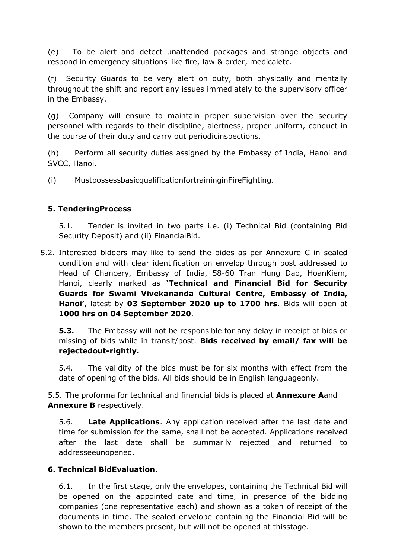(e) To be alert and detect unattended packages and strange objects and respond in emergency situations like fire, law & order, medicaletc.

(f) Security Guards to be very alert on duty, both physically and mentally throughout the shift and report any issues immediately to the supervisory officer in the Embassy.

(g) Company will ensure to maintain proper supervision over the security personnel with regards to their discipline, alertness, proper uniform, conduct in the course of their duty and carry out periodicinspections.

(h) Perform all security duties assigned by the Embassy of India, Hanoi and SVCC, Hanoi.

(i) MustpossessbasicqualificationfortraininginFireFighting.

### **5. TenderingProcess**

5.1. Tender is invited in two parts i.e. (i) Technical Bid (containing Bid Security Deposit) and (ii) FinancialBid.

5.2. Interested bidders may like to send the bides as per Annexure C in sealed condition and with clear identification on envelop through post addressed to Head of Chancery, Embassy of India, 58-60 Tran Hung Dao, HoanKiem, Hanoi, clearly marked as **'Technical and Financial Bid for Security Guards for Swami Vivekananda Cultural Centre, Embassy of India, Hanoi'**, latest by **03 September 2020 up to 1700 hrs**. Bids will open at **1000 hrs on 04 September 2020**.

**5.3.** The Embassy will not be responsible for any delay in receipt of bids or missing of bids while in transit/post. **Bids received by email/ fax will be rejectedout-rightly.**

5.4. The validity of the bids must be for six months with effect from the date of opening of the bids. All bids should be in English languageonly.

5.5. The proforma for technical and financial bids is placed at **Annexure A**and **Annexure B** respectively.

5.6. **Late Applications**. Any application received after the last date and time for submission for the same, shall not be accepted. Applications received after the last date shall be summarily rejected and returned to addresseeunopened.

### **6. Technical BidEvaluation**.

6.1. In the first stage, only the envelopes, containing the Technical Bid will be opened on the appointed date and time, in presence of the bidding companies (one representative each) and shown as a token of receipt of the documents in time. The sealed envelope containing the Financial Bid will be shown to the members present, but will not be opened at thisstage.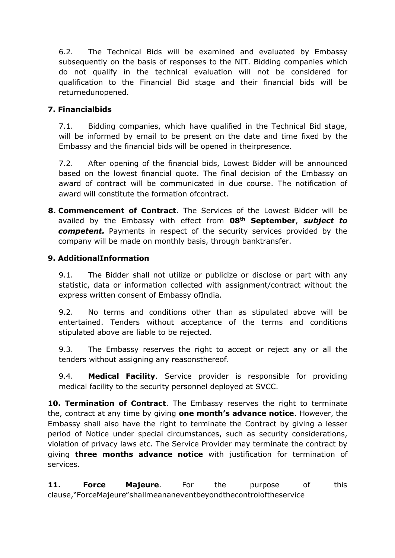6.2. The Technical Bids will be examined and evaluated by Embassy subsequently on the basis of responses to the NIT. Bidding companies which do not qualify in the technical evaluation will not be considered for qualification to the Financial Bid stage and their financial bids will be returnedunopened.

### **7. Financialbids**

7.1. Bidding companies, which have qualified in the Technical Bid stage, will be informed by email to be present on the date and time fixed by the Embassy and the financial bids will be opened in theirpresence.

7.2. After opening of the financial bids, Lowest Bidder will be announced based on the lowest financial quote. The final decision of the Embassy on award of contract will be communicated in due course. The notification of award will constitute the formation ofcontract.

**8. Commencement of Contract**. The Services of the Lowest Bidder will be availed by the Embassy with effect from **08th September**, *subject to competent.* Payments in respect of the security services provided by the company will be made on monthly basis, through banktransfer.

### **9. AdditionalInformation**

9.1. The Bidder shall not utilize or publicize or disclose or part with any statistic, data or information collected with assignment/contract without the express written consent of Embassy ofIndia.

9.2. No terms and conditions other than as stipulated above will be entertained. Tenders without acceptance of the terms and conditions stipulated above are liable to be rejected.

9.3. The Embassy reserves the right to accept or reject any or all the tenders without assigning any reasonsthereof.

9.4. **Medical Facility**. Service provider is responsible for providing medical facility to the security personnel deployed at SVCC.

**10. Termination of Contract**. The Embassy reserves the right to terminate the, contract at any time by giving **one month's advance notice**. However, the Embassy shall also have the right to terminate the Contract by giving a lesser period of Notice under special circumstances, such as security considerations, violation of privacy laws etc. The Service Provider may terminate the contract by giving **three months advance notice** with justification for termination of services.

**11. Force Majeure**. For the purpose of this clause,"ForceMajeure"shallmeananeventbeyondthecontroloftheservice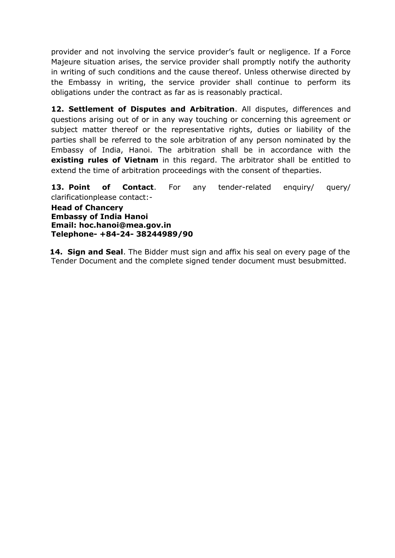provider and not involving the service provider's fault or negligence. If a Force Majeure situation arises, the service provider shall promptly notify the authority in writing of such conditions and the cause thereof. Unless otherwise directed by the Embassy in writing, the service provider shall continue to perform its obligations under the contract as far as is reasonably practical.

**12. Settlement of Disputes and Arbitration**. All disputes, differences and questions arising out of or in any way touching or concerning this agreement or subject matter thereof or the representative rights, duties or liability of the parties shall be referred to the sole arbitration of any person nominated by the Embassy of India, Hanoi. The arbitration shall be in accordance with the **existing rules of Vietnam** in this regard. The arbitrator shall be entitled to extend the time of arbitration proceedings with the consent of theparties.

**13. Point of Contact**. For any tender-related enquiry/ query/ clarificationplease contact:-

**Head of Chancery Embassy of India Hanoi Email: [hoc.hanoi@mea.gov.in](mailto:hoc.hanoi@mea.gov.in) Telephone- +84-24- 38244989/90**

**14. Sign and Seal**. The Bidder must sign and affix his seal on every page of the Tender Document and the complete signed tender document must besubmitted.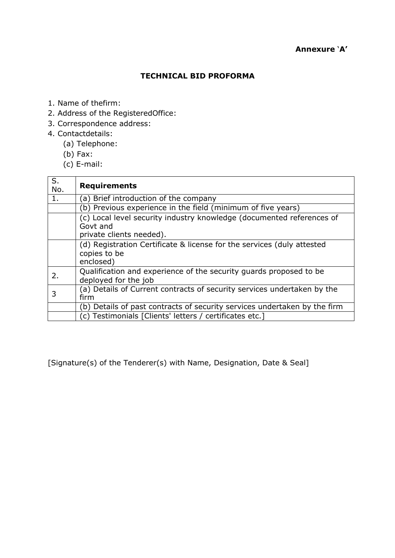#### **TECHNICAL BID PROFORMA**

- 1. Name of thefirm:
- 2. Address of the RegisteredOffice:
- 3. Correspondence address:
- 4. Contactdetails:
	- (a) Telephone:
	- (b) Fax:
	- (c) E-mail:

| S.<br>No. | <b>Requirements</b>                                                                                           |  |  |
|-----------|---------------------------------------------------------------------------------------------------------------|--|--|
|           | (a) Brief introduction of the company                                                                         |  |  |
|           | (b) Previous experience in the field (minimum of five years)                                                  |  |  |
|           | (c) Local level security industry knowledge (documented references of<br>Govt and<br>private clients needed). |  |  |
|           | (d) Registration Certificate & license for the services (duly attested<br>copies to be<br>enclosed)           |  |  |
| 2.        | Qualification and experience of the security quards proposed to be<br>deployed for the job                    |  |  |
| 3         | (a) Details of Current contracts of security services undertaken by the<br>firm                               |  |  |
|           | (b) Details of past contracts of security services undertaken by the firm                                     |  |  |
|           | (c) Testimonials [Clients' letters / certificates etc.]                                                       |  |  |

[Signature(s) of the Tenderer(s) with Name, Designation, Date & Seal]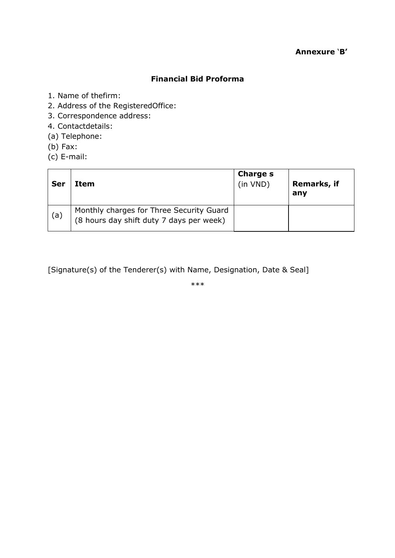### **Annexure** '**B'**

#### **Financial Bid Proforma**

- 1. Name of thefirm:
- 2. Address of the RegisteredOffice:
- 3. Correspondence address:
- 4. Contactdetails:
- (a) Telephone:
- (b) Fax:
- (c) E-mail:

| Ser | Item                                                                                 | <b>Charge s</b><br>(in VND) | Remarks, if<br>any |
|-----|--------------------------------------------------------------------------------------|-----------------------------|--------------------|
| (a) | Monthly charges for Three Security Guard<br>(8 hours day shift duty 7 days per week) |                             |                    |

[Signature(s) of the Tenderer(s) with Name, Designation, Date & Seal]

\*\*\*